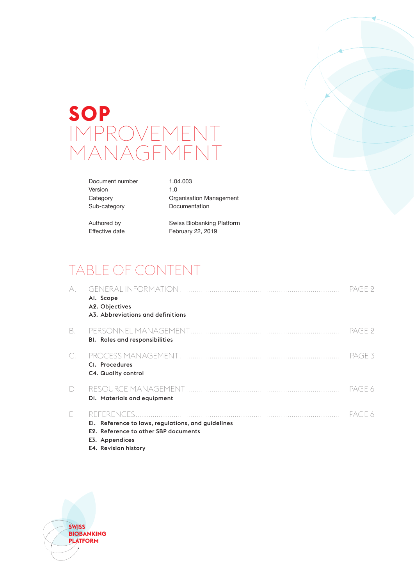# **SOP** IMPROVEMENT MANAGEMENT

| Document number | 1.04.003                |
|-----------------|-------------------------|
| Version         | 1. $\Omega$             |
| Category        | Organisation Management |
| Sub-category    | Documentation           |
|                 |                         |

Authored by Swiss Biobanking Platform Effective date February 22, 2019

## TABLE OF CONTENT

| A.                             | Al. Scope<br>A2. Objectives<br>A3. Abbreviations and definitions                                             |
|--------------------------------|--------------------------------------------------------------------------------------------------------------|
| B.                             | <b>BI.</b> Roles and responsibilities                                                                        |
|                                | PAGE 5<br>CI. Procedures<br>C4. Quality control                                                              |
| $\begin{array}{c} \end{array}$ | PAGE 6<br>DI. Materials and equipment                                                                        |
| F.                             | El. Reference to laws, regulations, and guidelines<br>E2. Reference to other SBP documents<br>E3. Appendices |

E4. Revision history

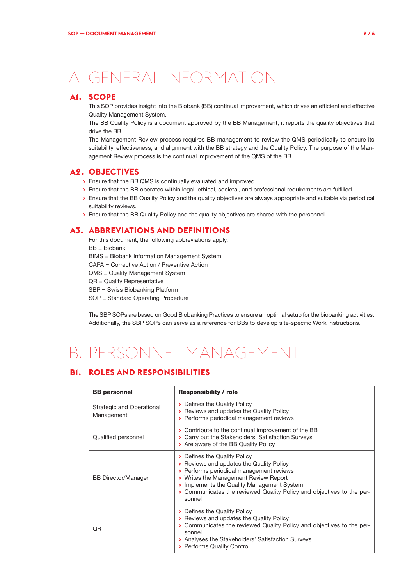## A. GENERAL INFORMATION

## **A1. SCOPE**

This SOP provides insight into the Biobank (BB) continual improvement, which drives an efficient and effective Quality Management System.

The BB Quality Policy is a document approved by the BB Management; it reports the quality objectives that drive the BB.

The Management Review process requires BB management to review the QMS periodically to ensure its suitability, effectiveness, and alignment with the BB strategy and the Quality Policy. The purpose of the Management Review process is the continual improvement of the QMS of the BB.

### **A2. OBJECTIVES**

- **>** Ensure that the BB QMS is continually evaluated and improved.
- **>** Ensure that the BB operates within legal, ethical, societal, and professional requirements are fulfilled.
- **>** Ensure that the BB Quality Policy and the quality objectives are always appropriate and suitable via periodical suitability reviews.
- **>** Ensure that the BB Quality Policy and the quality objectives are shared with the personnel.

## **A3. ABBREVIATIONS AND DEFINITIONS**

For this document, the following abbreviations apply. BB = Biobank

BIMS = Biobank Information Management System

CAPA = Corrective Action / Preventive Action

QMS = Quality Management System

QR = Quality Representative

SBP = Swiss Biobanking Platform

SOP = Standard Operating Procedure

The SBP SOPs are based on Good Biobanking Practices to ensure an optimal setup for the biobanking activities. Additionally, the SBP SOPs can serve as a reference for BBs to develop site-specific Work Instructions.

## B. PERSONNEL MANAGEMENT

## **B1. ROLES AND RESPONSIBILITIES**

| <b>BB</b> personnel                     | <b>Responsibility / role</b>                                                                                                                                                                                                                                                                   |  |  |
|-----------------------------------------|------------------------------------------------------------------------------------------------------------------------------------------------------------------------------------------------------------------------------------------------------------------------------------------------|--|--|
| Strategic and Operational<br>Management | > Defines the Quality Policy<br>> Reviews and updates the Quality Policy<br>> Performs periodical management reviews                                                                                                                                                                           |  |  |
| Qualified personnel                     | > Contribute to the continual improvement of the BB<br>> Carry out the Stakeholders' Satisfaction Surveys<br>> Are aware of the BB Quality Policy                                                                                                                                              |  |  |
| <b>BB Director/Manager</b>              | > Defines the Quality Policy<br>> Reviews and updates the Quality Policy<br>> Performs periodical management reviews<br>> Writes the Management Review Report<br>> Implements the Quality Management System<br>> Communicates the reviewed Quality Policy and objectives to the per-<br>sonnel |  |  |
| QR                                      | > Defines the Quality Policy<br>> Reviews and updates the Quality Policy<br>> Communicates the reviewed Quality Policy and objectives to the per-<br>sonnel<br>> Analyses the Stakeholders' Satisfaction Surveys<br>> Performs Quality Control                                                 |  |  |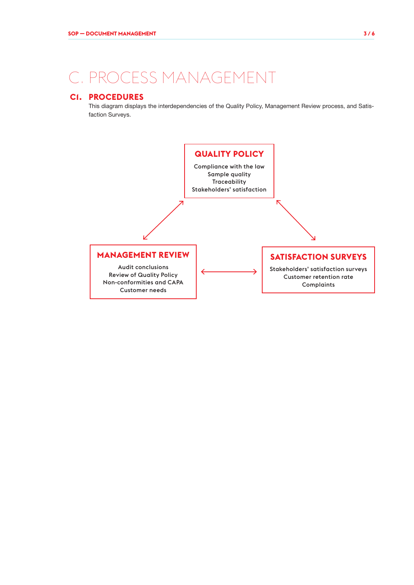## C. PROCESS MANAGEMENT

## **C1. PROCEDURES**

This diagram displays the interdependencies of the Quality Policy, Management Review process, and Satisfaction Surveys.

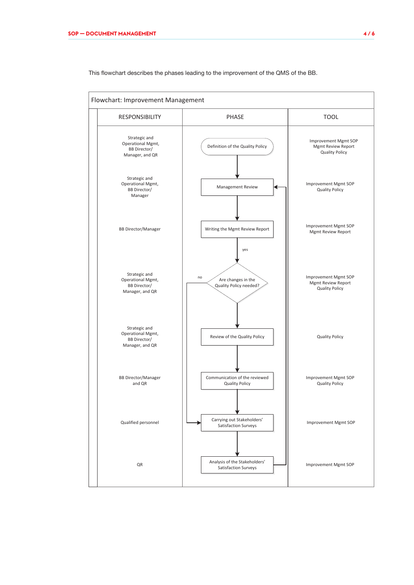

This flowchart describes the phases leading to the improvement of the QMS of the BB.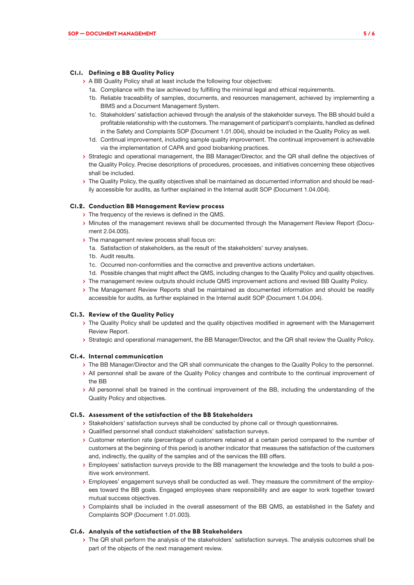#### **C1.1. Defining a BB Quality Policy**

- **>** A BB Quality Policy shall at least include the following four objectives:
	- 1a. Compliance with the law achieved by fulfilling the minimal legal and ethical requirements.
	- 1b. Reliable traceability of samples, documents, and resources management, achieved by implementing a BIMS and a Document Management System.
	- 1c. Stakeholders' satisfaction achieved through the analysis of the stakeholder surveys. The BB should build a profitable relationship with the customers. The management of participant's complaints, handled as defined in the Safety and Complaints SOP (Document 1.01.004), should be included in the Quality Policy as well.
	- 1d. Continual improvement, including sample quality improvement. The continual improvement is achievable via the implementation of CAPA and good biobanking practices.
- **>** Strategic and operational management, the BB Manager/Director, and the QR shall define the objectives of the Quality Policy. Precise descriptions of procedures, processes, and initiatives concerning these objectives shall be included.
- **>** The Quality Policy, the quality objectives shall be maintained as documented information and should be readily accessible for audits, as further explained in the Internal audit SOP (Document 1.04.004).

#### **C1.2. Conduction BB Management Review process**

- **>** The frequency of the reviews is defined in the QMS.
- **>** Minutes of the management reviews shall be documented through the Management Review Report (Document 2.04.005).
- **>** The management review process shall focus on:
	- 1a. Satisfaction of stakeholders, as the result of the stakeholders' survey analyses.
	- 1b. Audit results.
	- 1c. Occurred non-conformities and the corrective and preventive actions undertaken.
	- 1d. Possible changes that might affect the QMS, including changes to the Quality Policy and quality objectives.
- **>** The management review outputs should include QMS improvement actions and revised BB Quality Policy.
- **>** The Management Review Reports shall be maintained as documented information and should be readily accessible for audits, as further explained in the Internal audit SOP (Document 1.04.004).

#### **C1.3. Review of the Quality Policy**

- **>** The Quality Policy shall be updated and the quality objectives modified in agreement with the Management Review Report.
- **>** Strategic and operational management, the BB Manager/Director, and the QR shall review the Quality Policy.

#### **C1.4. Internal communication**

- **>** The BB Manager/Director and the QR shall communicate the changes to the Quality Policy to the personnel.
- **>** All personnel shall be aware of the Quality Policy changes and contribute to the continual improvement of the BB
- **>** All personnel shall be trained in the continual improvement of the BB, including the understanding of the Quality Policy and objectives.

#### **C1.5. Assessment of the satisfaction of the BB Stakeholders**

- **>** Stakeholders' satisfaction surveys shall be conducted by phone call or through questionnaires.
- **>** Qualified personnel shall conduct stakeholders' satisfaction surveys.
- **>** Customer retention rate (percentage of customers retained at a certain period compared to the number of customers at the beginning of this period) is another indicator that measures the satisfaction of the customers and, indirectly, the quality of the samples and of the services the BB offers.
- **>** Employees' satisfaction surveys provide to the BB management the knowledge and the tools to build a positive work environment.
- **>** Employees' engagement surveys shall be conducted as well. They measure the commitment of the employees toward the BB goals. Engaged employees share responsibility and are eager to work together toward mutual success objectives.
- **>** Complaints shall be included in the overall assessment of the BB QMS, as established in the Safety and Complaints SOP (Document 1.01.003).

#### **C1.6. Analysis of the satisfaction of the BB Stakeholders**

**>** The QR shall perform the analysis of the stakeholders' satisfaction surveys. The analysis outcomes shall be part of the objects of the next management review.